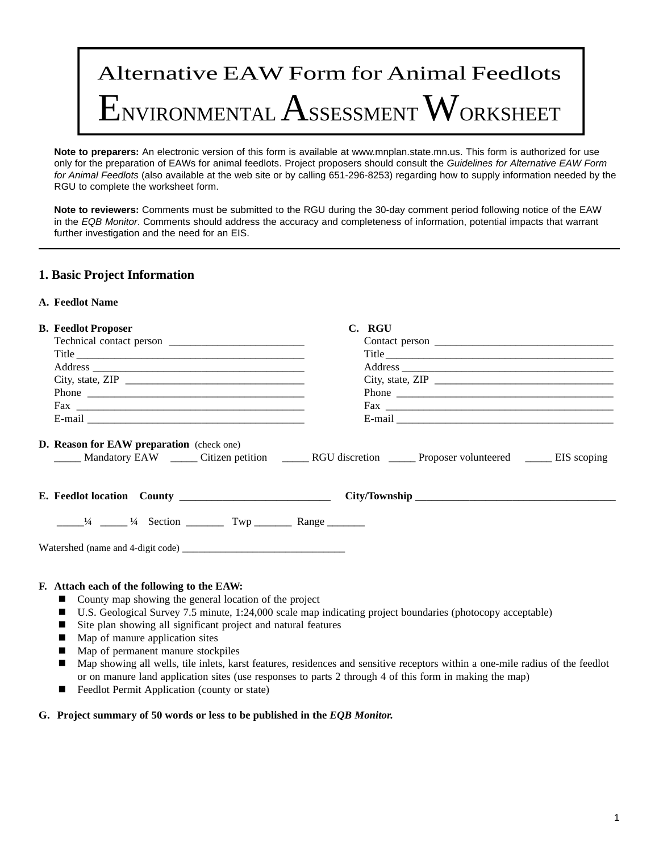# Alternative EAW Form for Animal Feedlots  ${\rm E}$ nvironmental  ${\rm Ass}$ essment  ${\rm W}$ orksheet

**Note to preparers:** An electronic version of this form is available at www.mnplan.state.mn.us. This form is authorized for use only for the preparation of EAWs for animal feedlots. Project proposers should consult the *Guidelines for Alternative EAW Form for Animal Feedlots* (also available at the web site or by calling 651-296-8253) regarding how to supply information needed by the RGU to complete the worksheet form.

**Note to reviewers:** Comments must be submitted to the RGU during the 30-day comment period following notice of the EAW in the *EQB Monitor*. Comments should address the accuracy and completeness of information, potential impacts that warrant further investigation and the need for an EIS.

# **1. Basic Project Information**

# **A. Feedlot Name**

| <b>B.</b> Feedlot Proposer                                                              | C. RGU                                  |  |  |
|-----------------------------------------------------------------------------------------|-----------------------------------------|--|--|
|                                                                                         |                                         |  |  |
|                                                                                         |                                         |  |  |
|                                                                                         |                                         |  |  |
| City, state, ZIP $\_\_\_\_\_\_\_\_\_\_\_\_\_\_\_\_\_\_\_\_\_\_$                         | City, state, ZIP $\_\_\_\_\_\_\_\_\_\_$ |  |  |
|                                                                                         |                                         |  |  |
|                                                                                         |                                         |  |  |
|                                                                                         |                                         |  |  |
| D. Reason for EAW preparation (check one)                                               |                                         |  |  |
| $\frac{1}{4}$ $\frac{1}{4}$ $\frac{1}{4}$ Section $\frac{1}{4}$ Twp $\frac{1}{4}$ Range |                                         |  |  |
|                                                                                         |                                         |  |  |
| F. Attach each of the following to the EAW:                                             |                                         |  |  |

- County map showing the general location of the project
- U.S. Geological Survey 7.5 minute, 1:24,000 scale map indicating project boundaries (photocopy acceptable)
- Site plan showing all significant project and natural features
- Map of manure application sites
- Map of permanent manure stockpiles
- n Map showing all wells, tile inlets, karst features, residences and sensitive receptors within a one-mile radius of the feedlot or on manure land application sites (use responses to parts 2 through 4 of this form in making the map)
- Feedlot Permit Application (county or state)

#### **G. Project summary of 50 words or less to be published in the** *EQB Monitor.*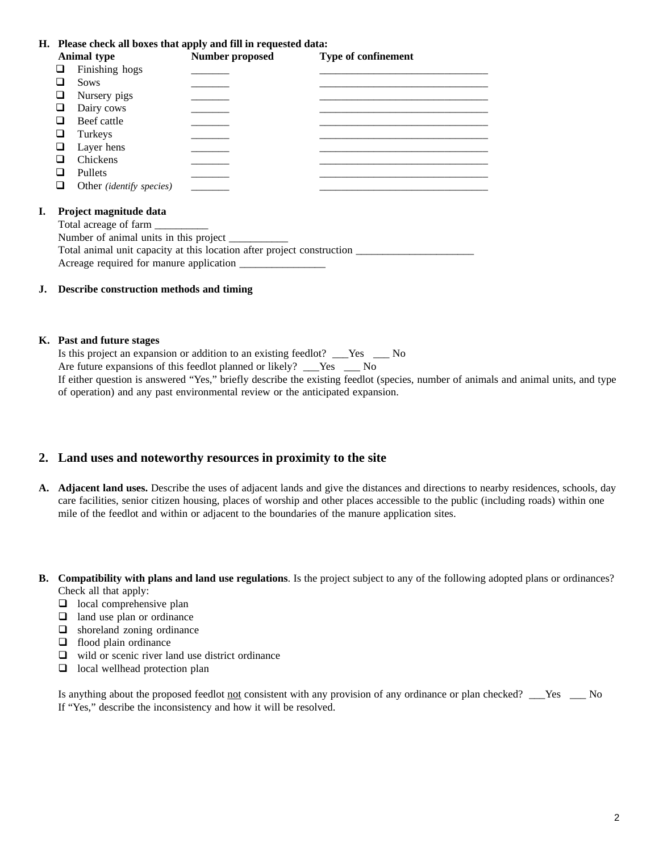**H. Please check all boxes that apply and fill in requested data:**

|    | <b>Animal type</b>                                                              | Number proposed | Type of confinement |  |  |  |
|----|---------------------------------------------------------------------------------|-----------------|---------------------|--|--|--|
| ப  | Finishing hogs                                                                  |                 |                     |  |  |  |
|    | <b>Sows</b>                                                                     |                 |                     |  |  |  |
| ப  | Nursery pigs                                                                    |                 |                     |  |  |  |
|    | Dairy cows                                                                      |                 |                     |  |  |  |
|    | Beef cattle                                                                     |                 |                     |  |  |  |
| ⊔  | Turkeys                                                                         |                 |                     |  |  |  |
|    | Layer hens                                                                      |                 |                     |  |  |  |
|    | Chickens                                                                        |                 |                     |  |  |  |
| ப  | <b>Pullets</b>                                                                  |                 |                     |  |  |  |
|    | Other <i>(identify species)</i>                                                 |                 |                     |  |  |  |
|    |                                                                                 |                 |                     |  |  |  |
| Ι. | Project magnitude data                                                          |                 |                     |  |  |  |
|    |                                                                                 |                 |                     |  |  |  |
|    | Number of animal units in this project __________                               |                 |                     |  |  |  |
|    | Total animal unit capacity at this location after project construction ________ |                 |                     |  |  |  |
|    | Acreage required for manure application                                         |                 |                     |  |  |  |

#### **J. Describe construction methods and timing**

#### **K. Past and future stages**

Is this project an expansion or addition to an existing feedlot? \_\_\_Yes \_\_\_ No Are future expansions of this feedlot planned or likely? \_\_\_Yes \_\_\_ No

If either question is answered "Yes," briefly describe the existing feedlot (species, number of animals and animal units, and type of operation) and any past environmental review or the anticipated expansion.

#### **2. Land uses and noteworthy resources in proximity to the site**

- **A. Adjacent land uses.** Describe the uses of adjacent lands and give the distances and directions to nearby residences, schools, day care facilities, senior citizen housing, places of worship and other places accessible to the public (including roads) within one mile of the feedlot and within or adjacent to the boundaries of the manure application sites.
- **B. Compatibility with plans and land use regulations**. Is the project subject to any of the following adopted plans or ordinances? Check all that apply:
	- $\Box$  local comprehensive plan
	- $\Box$  land use plan or ordinance
	- $\Box$  shoreland zoning ordinance
	- $\Box$  flood plain ordinance
	- $\Box$  wild or scenic river land use district ordinance
	- $\Box$  local wellhead protection plan

Is anything about the proposed feedlot not consistent with any provision of any ordinance or plan checked? \_\_\_Yes \_\_\_ No If "Yes," describe the inconsistency and how it will be resolved.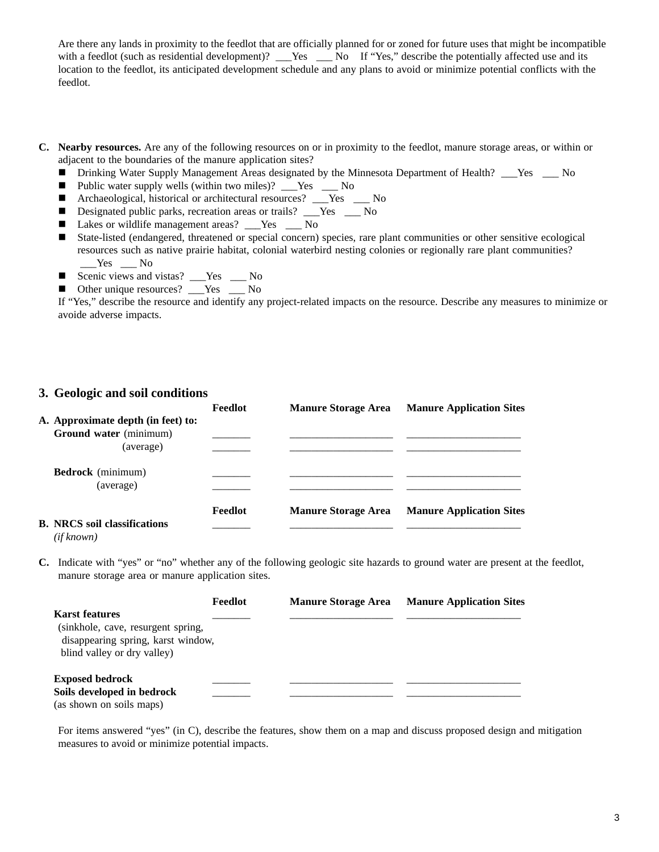Are there any lands in proximity to the feedlot that are officially planned for or zoned for future uses that might be incompatible with a feedlot (such as residential development)? \_\_\_Yes \_\_\_ No If "Yes," describe the potentially affected use and its location to the feedlot, its anticipated development schedule and any plans to avoid or minimize potential conflicts with the feedlot.

- **C. Nearby resources.** Are any of the following resources on or in proximity to the feedlot, manure storage areas, or within or adjacent to the boundaries of the manure application sites?
	- Drinking Water Supply Management Areas designated by the Minnesota Department of Health? \_\_\_Yes \_\_\_ No
	- Public water supply wells (within two miles)? \_\_\_Yes \_\_\_ No
	- Archaeological, historical or architectural resources? <u>\_\_\_</u>Yes \_\_\_ No
	- Designated public parks, recreation areas or trails? \_\_Yes \_\_ No
	- Lakes or wildlife management areas? \_\_\_Yes \_\_\_ No
	- State-listed (endangered, threatened or special concern) species, rare plant communities or other sensitive ecological resources such as native prairie habitat, colonial waterbird nesting colonies or regionally rare plant communities?  $Yes$  No
	- Scenic views and vistas? \_\_\_Yes \_\_\_ No
	- Other unique resources? \_\_\_Yes \_\_\_ No

If "Yes," describe the resource and identify any project-related impacts on the resource. Describe any measures to minimize or avoide adverse impacts.

### **3. Geologic and soil conditions**

|                                                              | <b>Feedlot</b> | <b>Manure Storage Area</b> | <b>Manure Application Sites</b> |
|--------------------------------------------------------------|----------------|----------------------------|---------------------------------|
| A. Approximate depth (in feet) to:<br>Ground water (minimum) |                |                            |                                 |
| (average)                                                    |                |                            |                                 |
| <b>Bedrock</b> (minimum)                                     |                |                            |                                 |
| (average)                                                    |                |                            |                                 |
|                                                              | Feedlot        | <b>Manure Storage Area</b> | <b>Manure Application Sites</b> |
| <b>B. NRCS soil classifications</b><br>(if known)            |                |                            |                                 |

**C.** Indicate with "yes" or "no" whether any of the following geologic site hazards to ground water are present at the feedlot, manure storage area or manure application sites.

|                                                                                                                                  | Feedlot | <b>Manure Storage Area</b> | <b>Manure Application Sites</b> |
|----------------------------------------------------------------------------------------------------------------------------------|---------|----------------------------|---------------------------------|
| <b>Karst features</b><br>(sinkhole, cave, resurgent spring,<br>disappearing spring, karst window,<br>blind valley or dry valley) |         |                            |                                 |
| <b>Exposed bedrock</b><br>Soils developed in bedrock<br>(as shown on soils maps)                                                 |         |                            |                                 |

For items answered "yes" (in C), describe the features, show them on a map and discuss proposed design and mitigation measures to avoid or minimize potential impacts.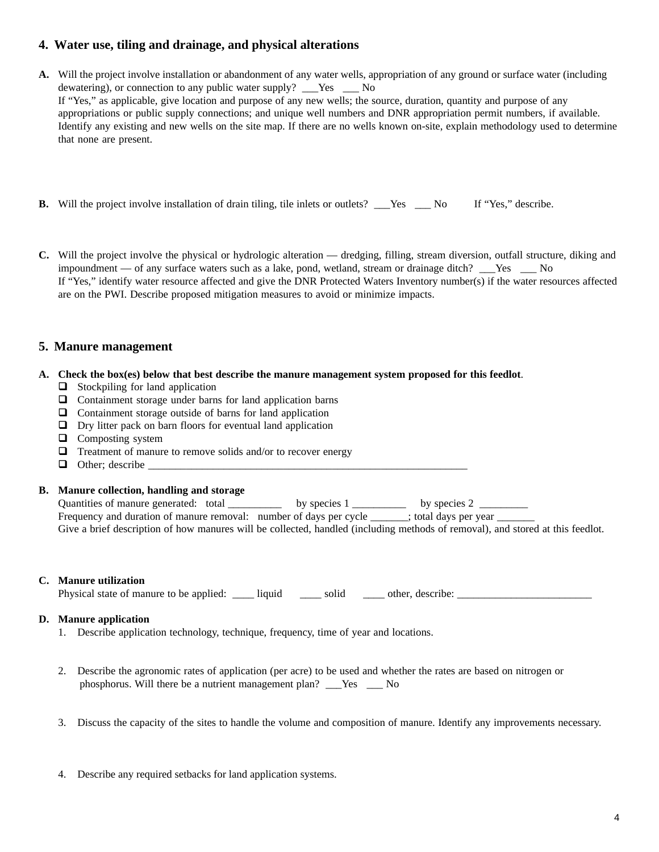# **4. Water use, tiling and drainage, and physical alterations**

- **A.** Will the project involve installation or abandonment of any water wells, appropriation of any ground or surface water (including dewatering), or connection to any public water supply? Yes No If "Yes," as applicable, give location and purpose of any new wells; the source, duration, quantity and purpose of any appropriations or public supply connections; and unique well numbers and DNR appropriation permit numbers, if available. Identify any existing and new wells on the site map. If there are no wells known on-site, explain methodology used to determine that none are present.
- **B.** Will the project involve installation of drain tiling, tile inlets or outlets? Yes No If "Yes," describe.
- **C.** Will the project involve the physical or hydrologic alteration dredging, filling, stream diversion, outfall structure, diking and impoundment — of any surface waters such as a lake, pond, wetland, stream or drainage ditch? Yes No If "Yes," identify water resource affected and give the DNR Protected Waters Inventory number(s) if the water resources affected are on the PWI. Describe proposed mitigation measures to avoid or minimize impacts.

# **5. Manure management**

#### **A. Check the box(es) below that best describe the manure management system proposed for this feedlot**.

- $\Box$  Stockpiling for land application
- $\Box$  Containment storage under barns for land application barns
- $\Box$  Containment storage outside of barns for land application
- $\Box$  Dry litter pack on barn floors for eventual land application
- $\Box$  Composting system
- $\Box$  Treatment of manure to remove solids and/or to recover energy
- $\Box$  Other; describe

**B. Manure collection, handling and storage** by species  $1 \_$  by species 2  $\_$ 

Frequency and duration of manure removal: number of days per cycle ; total days per year

Give a brief description of how manures will be collected, handled (including methods of removal), and stored at this feedlot.

#### **C. Manure utilization**

Physical state of manure to be applied: \_\_\_\_ liquid \_\_\_\_ solid \_\_\_\_ other, describe: \_\_\_\_\_\_\_\_\_\_\_\_\_\_\_\_\_\_\_\_\_\_\_\_\_

#### **D. Manure application**

- 1. Describe application technology, technique, frequency, time of year and locations.
- 2. Describe the agronomic rates of application (per acre) to be used and whether the rates are based on nitrogen or phosphorus. Will there be a nutrient management plan? \_\_\_Yes \_\_\_ No
- 3. Discuss the capacity of the sites to handle the volume and composition of manure. Identify any improvements necessary.
- 4. Describe any required setbacks for land application systems.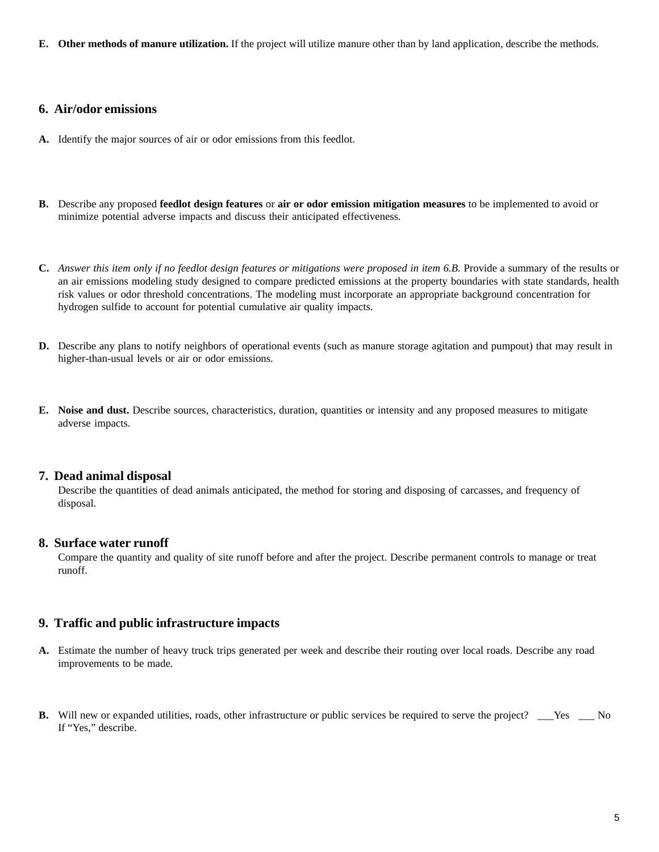**E. Other methods of manure utilization.** If the project will utilize manure other than by land application, describe the methods.

#### **6. Air/odor emissions**

- **A.** Identify the major sources of air or odor emissions from this feedlot.
- **B.** Describe any proposed **feedlot design features** or **air or odor emission mitigation measures** to be implemented to avoid or minimize potential adverse impacts and discuss their anticipated effectiveness.
- **C.** *Answer this item only if no feedlot design features or mitigations were proposed in item 6.B.* Provide a summary of the results or an air emissions modeling study designed to compare predicted emissions at the property boundaries with state standards, health risk values or odor threshold concentrations. The modeling must incorporate an appropriate background concentration for hydrogen sulfide to account for potential cumulative air quality impacts.
- **D.** Describe any plans to notify neighbors of operational events (such as manure storage agitation and pumpout) that may result in higher-than-usual levels or air or odor emissions.
- **E. Noise and dust.** Describe sources, characteristics, duration, quantities or intensity and any proposed measures to mitigate adverse impacts.

#### **7. Dead animal disposal**

Describe the quantities of dead animals anticipated, the method for storing and disposing of carcasses, and frequency of disposal.

#### **8. Surface water runoff**

Compare the quantity and quality of site runoff before and after the project. Describe permanent controls to manage or treat runoff.

#### **9. Traffic and public infrastructure impacts**

- **A.** Estimate the number of heavy truck trips generated per week and describe their routing over local roads. Describe any road improvements to be made.
- **B.** Will new or expanded utilities, roads, other infrastructure or public services be required to serve the project? \_\_\_Yes \_\_\_ No If "Yes," describe.